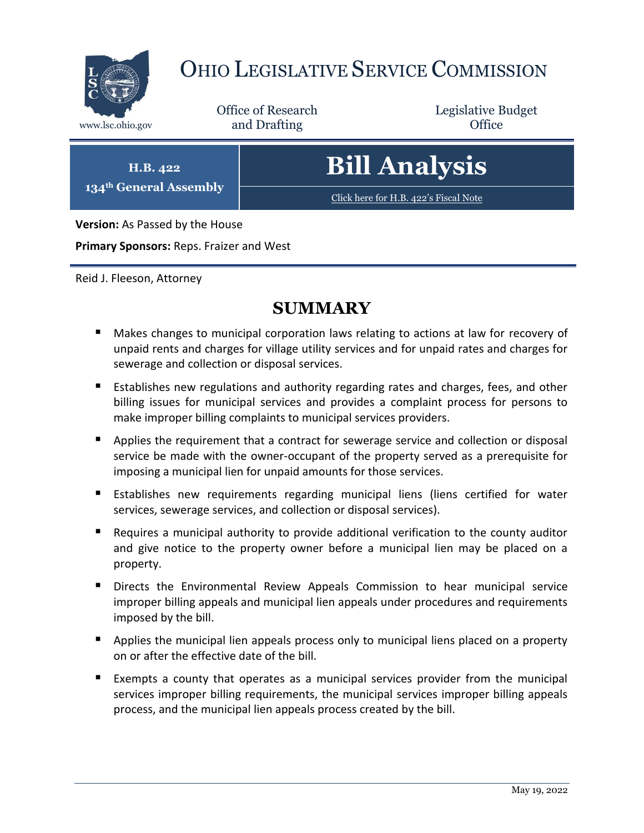

# OHIO LEGISLATIVE SERVICE COMMISSION

Office of Research www.lsc.ohio.gov **and Drafting Office** 

Legislative Budget

**H.B. 422 134th General Assembly**

# **Bill Analysis**

[Click here for H.B. 422](https://www.legislature.ohio.gov/legislation/legislation-documents?id=GA134-HB-422)'s Fiscal Note

**Version:** As Passed by the House

**Primary Sponsors:** Reps. Fraizer and West

Reid J. Fleeson, Attorney

# **SUMMARY**

- **Makes changes to municipal corporation laws relating to actions at law for recovery of** unpaid rents and charges for village utility services and for unpaid rates and charges for sewerage and collection or disposal services.
- **E** Establishes new regulations and authority regarding rates and charges, fees, and other billing issues for municipal services and provides a complaint process for persons to make improper billing complaints to municipal services providers.
- **Applies the requirement that a contract for sewerage service and collection or disposal** service be made with the owner-occupant of the property served as a prerequisite for imposing a municipal lien for unpaid amounts for those services.
- **Establishes new requirements regarding municipal liens (liens certified for water** services, sewerage services, and collection or disposal services).
- Requires a municipal authority to provide additional verification to the county auditor and give notice to the property owner before a municipal lien may be placed on a property.
- **Directs the Environmental Review Appeals Commission to hear municipal service** improper billing appeals and municipal lien appeals under procedures and requirements imposed by the bill.
- **Applies the municipal lien appeals process only to municipal liens placed on a property** on or after the effective date of the bill.
- Exempts a county that operates as a municipal services provider from the municipal services improper billing requirements, the municipal services improper billing appeals process, and the municipal lien appeals process created by the bill.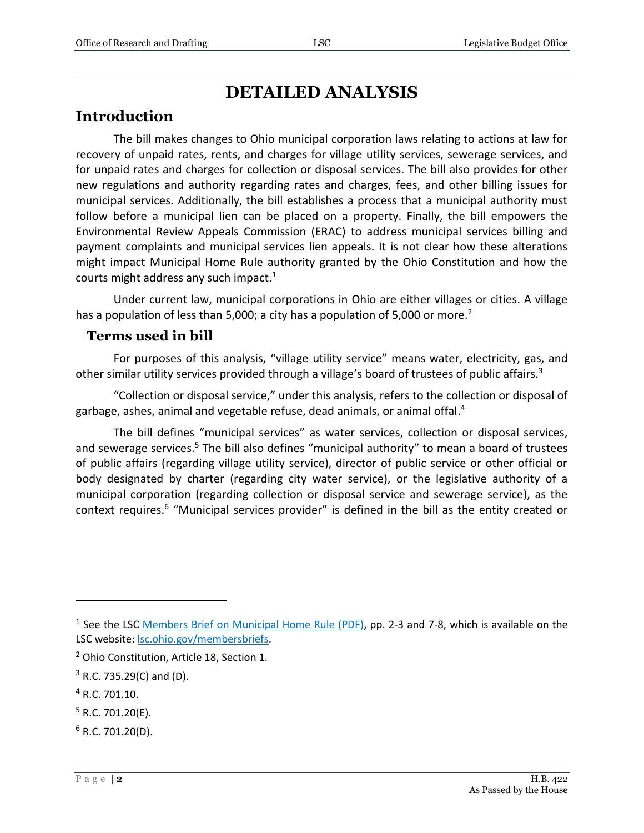# **DETAILED ANALYSIS**

## **Introduction**

The bill makes changes to Ohio municipal corporation laws relating to actions at law for recovery of unpaid rates, rents, and charges for village utility services, sewerage services, and for unpaid rates and charges for collection or disposal services. The bill also provides for other new regulations and authority regarding rates and charges, fees, and other billing issues for municipal services. Additionally, the bill establishes a process that a municipal authority must follow before a municipal lien can be placed on a property. Finally, the bill empowers the Environmental Review Appeals Commission (ERAC) to address municipal services billing and payment complaints and municipal services lien appeals. It is not clear how these alterations might impact Municipal Home Rule authority granted by the Ohio Constitution and how the courts might address any such impact.<sup>1</sup>

Under current law, municipal corporations in Ohio are either villages or cities. A village has a population of less than 5,000; a city has a population of 5,000 or more.<sup>2</sup>

### **Terms used in bill**

For purposes of this analysis, "village utility service" means water, electricity, gas, and other similar utility services provided through a village's board of trustees of public affairs.<sup>3</sup>

"Collection or disposal service," under this analysis, refers to the collection or disposal of garbage, ashes, animal and vegetable refuse, dead animals, or animal offal.<sup>4</sup>

The bill defines "municipal services" as water services, collection or disposal services, and sewerage services.<sup>5</sup> The bill also defines "municipal authority" to mean a board of trustees of public affairs (regarding village utility service), director of public service or other official or body designated by charter (regarding city water service), or the legislative authority of a municipal corporation (regarding collection or disposal service and sewerage service), as the context requires.<sup>6</sup> "Municipal services provider" is defined in the bill as the entity created or

<sup>4</sup> R.C. 701.10.

- $5$  R.C. 701.20(E).
- $6$  R.C. 701.20(D).

<sup>&</sup>lt;sup>1</sup> See the LSC [Members Brief on Municipal Home Rule \(PDF\),](https://www.lsc.ohio.gov/documents/reference/current/membersonlybriefs/133Municipal%20Home%20Rule.pdf#page=2) pp. 2-3 and 7-8, which is available on the LSC website[: lsc.ohio.gov/membersbriefs.](https://www.lsc.ohio.gov/pages/reference/current/membersbriefs.aspx)

<sup>2</sup> Ohio Constitution, Article 18, Section 1.

 $3$  R.C. 735.29(C) and (D).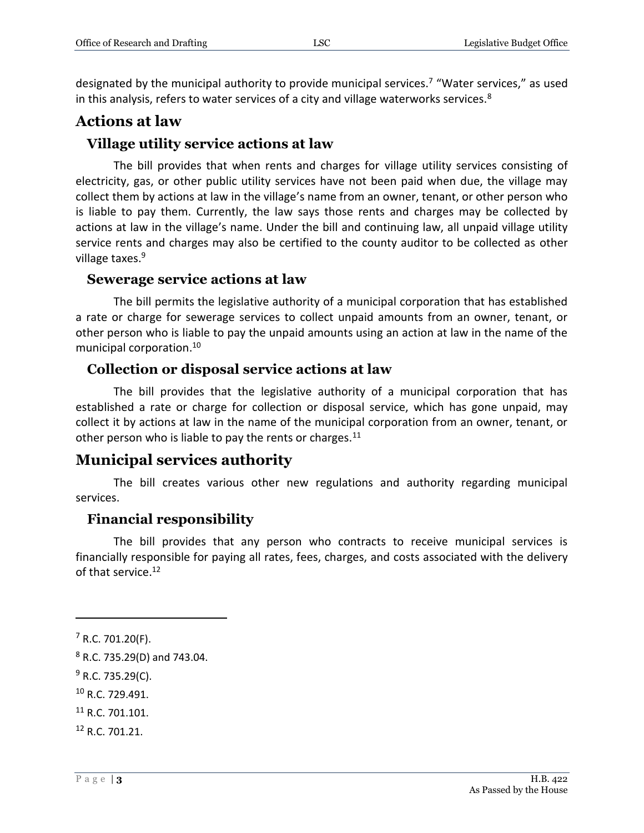designated by the municipal authority to provide municipal services.<sup>7</sup> "Water services," as used in this analysis, refers to water services of a city and village waterworks services.<sup>8</sup>

## **Actions at law**

### **Village utility service actions at law**

The bill provides that when rents and charges for village utility services consisting of electricity, gas, or other public utility services have not been paid when due, the village may collect them by actions at law in the village's name from an owner, tenant, or other person who is liable to pay them. Currently, the law says those rents and charges may be collected by actions at law in the village's name. Under the bill and continuing law, all unpaid village utility service rents and charges may also be certified to the county auditor to be collected as other village taxes.<sup>9</sup>

#### **Sewerage service actions at law**

The bill permits the legislative authority of a municipal corporation that has established a rate or charge for sewerage services to collect unpaid amounts from an owner, tenant, or other person who is liable to pay the unpaid amounts using an action at law in the name of the municipal corporation.<sup>10</sup>

## **Collection or disposal service actions at law**

The bill provides that the legislative authority of a municipal corporation that has established a rate or charge for collection or disposal service, which has gone unpaid, may collect it by actions at law in the name of the municipal corporation from an owner, tenant, or other person who is liable to pay the rents or charges.<sup>11</sup>

## **Municipal services authority**

The bill creates various other new regulations and authority regarding municipal services.

## **Financial responsibility**

The bill provides that any person who contracts to receive municipal services is financially responsible for paying all rates, fees, charges, and costs associated with the delivery of that service.<sup>12</sup>

 $7$  R.C. 701.20(F).

<sup>8</sup> R.C. 735.29(D) and 743.04.

 $9$  R.C. 735.29(C).

<sup>10</sup> R.C. 729.491.

<sup>&</sup>lt;sup>11</sup> R.C. 701.101.

<sup>12</sup> R.C. 701.21.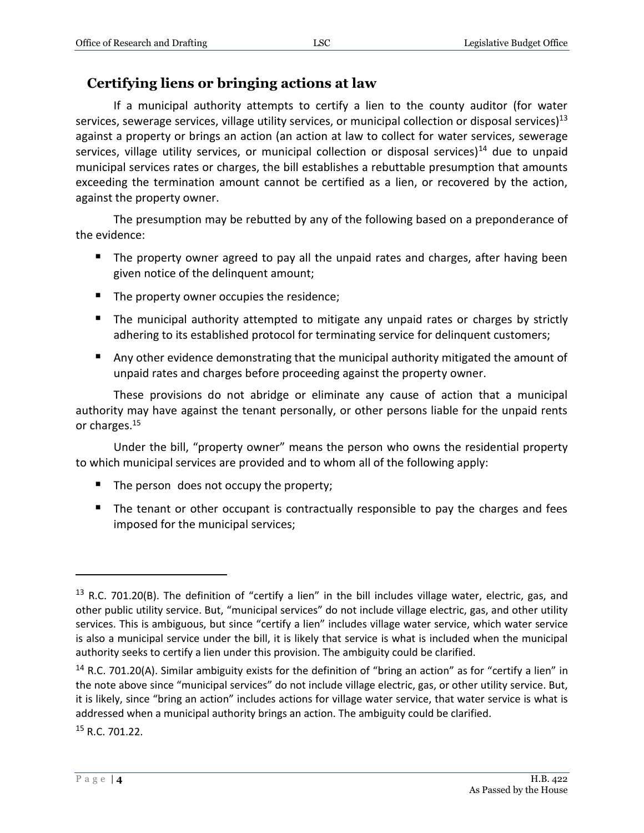## **Certifying liens or bringing actions at law**

If a municipal authority attempts to certify a lien to the county auditor (for water services, sewerage services, village utility services, or municipal collection or disposal services)<sup>13</sup> against a property or brings an action (an action at law to collect for water services, sewerage services, village utility services, or municipal collection or disposal services)<sup>14</sup> due to unpaid municipal services rates or charges, the bill establishes a rebuttable presumption that amounts exceeding the termination amount cannot be certified as a lien, or recovered by the action, against the property owner.

The presumption may be rebutted by any of the following based on a preponderance of the evidence:

- The property owner agreed to pay all the unpaid rates and charges, after having been given notice of the delinquent amount;
- The property owner occupies the residence;
- The municipal authority attempted to mitigate any unpaid rates or charges by strictly adhering to its established protocol for terminating service for delinquent customers;
- **Any other evidence demonstrating that the municipal authority mitigated the amount of** unpaid rates and charges before proceeding against the property owner.

These provisions do not abridge or eliminate any cause of action that a municipal authority may have against the tenant personally, or other persons liable for the unpaid rents or charges.<sup>15</sup>

Under the bill, "property owner" means the person who owns the residential property to which municipal services are provided and to whom all of the following apply:

- The person does not occupy the property;
- The tenant or other occupant is contractually responsible to pay the charges and fees imposed for the municipal services;

<sup>15</sup> R.C. 701.22.

 $13$  R.C. 701.20(B). The definition of "certify a lien" in the bill includes village water, electric, gas, and other public utility service. But, "municipal services" do not include village electric, gas, and other utility services. This is ambiguous, but since "certify a lien" includes village water service, which water service is also a municipal service under the bill, it is likely that service is what is included when the municipal authority seeks to certify a lien under this provision. The ambiguity could be clarified.

<sup>&</sup>lt;sup>14</sup> R.C. 701.20(A). Similar ambiguity exists for the definition of "bring an action" as for "certify a lien" in the note above since "municipal services" do not include village electric, gas, or other utility service. But, it is likely, since "bring an action" includes actions for village water service, that water service is what is addressed when a municipal authority brings an action. The ambiguity could be clarified.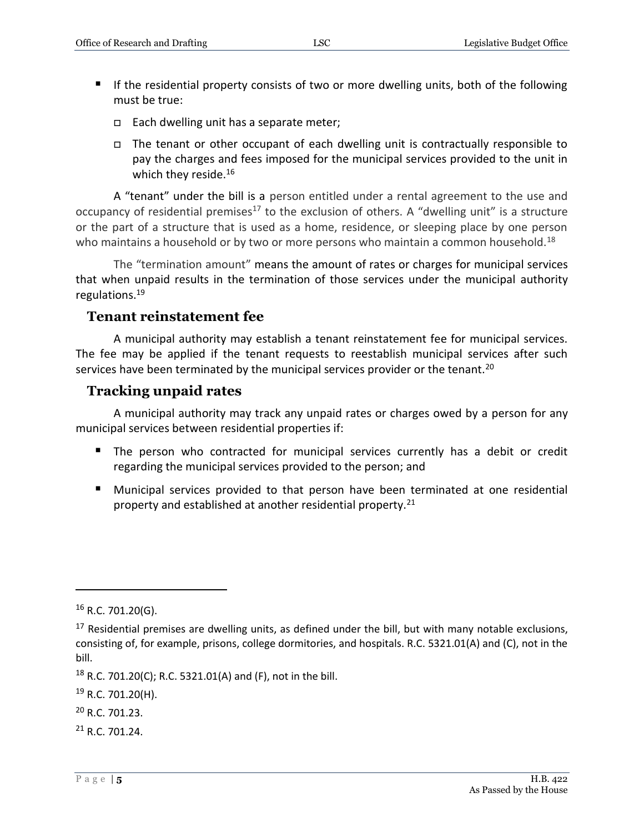- If the residential property consists of two or more dwelling units, both of the following must be true:
	- $\Box$  Each dwelling unit has a separate meter;
	- $\Box$  The tenant or other occupant of each dwelling unit is contractually responsible to pay the charges and fees imposed for the municipal services provided to the unit in which they reside.<sup>16</sup>

A "tenant" under the bill is a person entitled under a rental agreement to the use and occupancy of residential premises<sup>17</sup> to the exclusion of others. A "dwelling unit" is a structure or the part of a structure that is used as a home, residence, or sleeping place by one person who maintains a household or by two or more persons who maintain a common household.<sup>18</sup>

The "termination amount" means the amount of rates or charges for municipal services that when unpaid results in the termination of those services under the municipal authority regulations.<sup>19</sup>

#### **Tenant reinstatement fee**

A municipal authority may establish a tenant reinstatement fee for municipal services. The fee may be applied if the tenant requests to reestablish municipal services after such services have been terminated by the municipal services provider or the tenant.<sup>20</sup>

### **Tracking unpaid rates**

A municipal authority may track any unpaid rates or charges owed by a person for any municipal services between residential properties if:

- The person who contracted for municipal services currently has a debit or credit regarding the municipal services provided to the person; and
- **Municipal services provided to that person have been terminated at one residential** property and established at another residential property.<sup>21</sup>

 $16$  R.C. 701.20(G).

 $17$  Residential premises are dwelling units, as defined under the bill, but with many notable exclusions, consisting of, for example, prisons, college dormitories, and hospitals. R.C. 5321.01(A) and (C), not in the bill.

<sup>&</sup>lt;sup>18</sup> R.C. 701.20(C); R.C. 5321.01(A) and (F), not in the bill.

<sup>&</sup>lt;sup>19</sup> R.C. 701.20(H).

<sup>20</sup> R.C. 701.23.

<sup>21</sup> R.C. 701.24.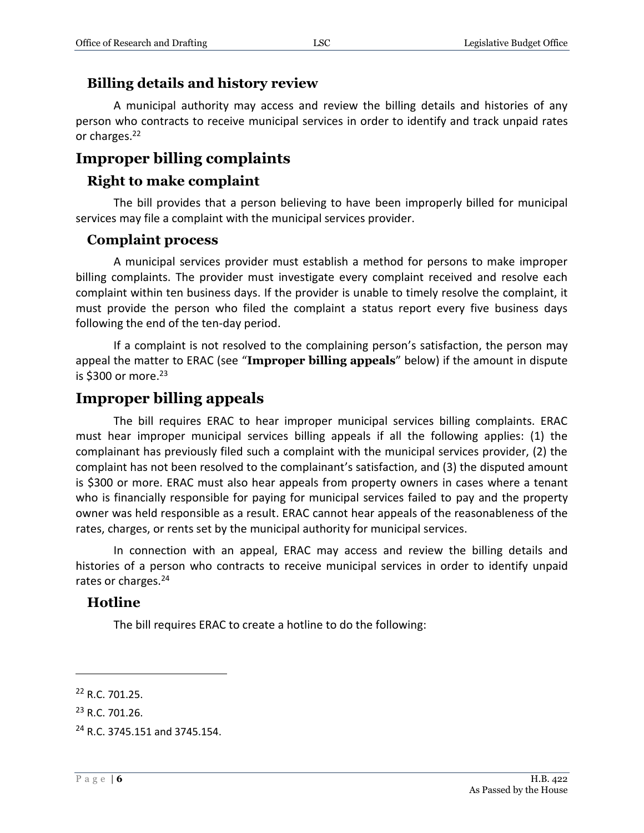### **Billing details and history review**

A municipal authority may access and review the billing details and histories of any person who contracts to receive municipal services in order to identify and track unpaid rates or charges.<sup>22</sup>

## **Improper billing complaints**

### **Right to make complaint**

The bill provides that a person believing to have been improperly billed for municipal services may file a complaint with the municipal services provider.

#### **Complaint process**

A municipal services provider must establish a method for persons to make improper billing complaints. The provider must investigate every complaint received and resolve each complaint within ten business days. If the provider is unable to timely resolve the complaint, it must provide the person who filed the complaint a status report every five business days following the end of the ten-day period.

If a complaint is not resolved to the complaining person's satisfaction, the person may appeal the matter to ERAC (see "**Improper billing appeals**" below) if the amount in dispute is \$300 or more. $23$ 

## **Improper billing appeals**

The bill requires ERAC to hear improper municipal services billing complaints. ERAC must hear improper municipal services billing appeals if all the following applies: (1) the complainant has previously filed such a complaint with the municipal services provider, (2) the complaint has not been resolved to the complainant's satisfaction, and (3) the disputed amount is \$300 or more. ERAC must also hear appeals from property owners in cases where a tenant who is financially responsible for paying for municipal services failed to pay and the property owner was held responsible as a result. ERAC cannot hear appeals of the reasonableness of the rates, charges, or rents set by the municipal authority for municipal services.

In connection with an appeal, ERAC may access and review the billing details and histories of a person who contracts to receive municipal services in order to identify unpaid rates or charges.<sup>24</sup>

#### **Hotline**

The bill requires ERAC to create a hotline to do the following:

<sup>22</sup> R.C. 701.25.

<sup>23</sup> R.C. 701.26.

<sup>24</sup> R.C. 3745.151 and 3745.154.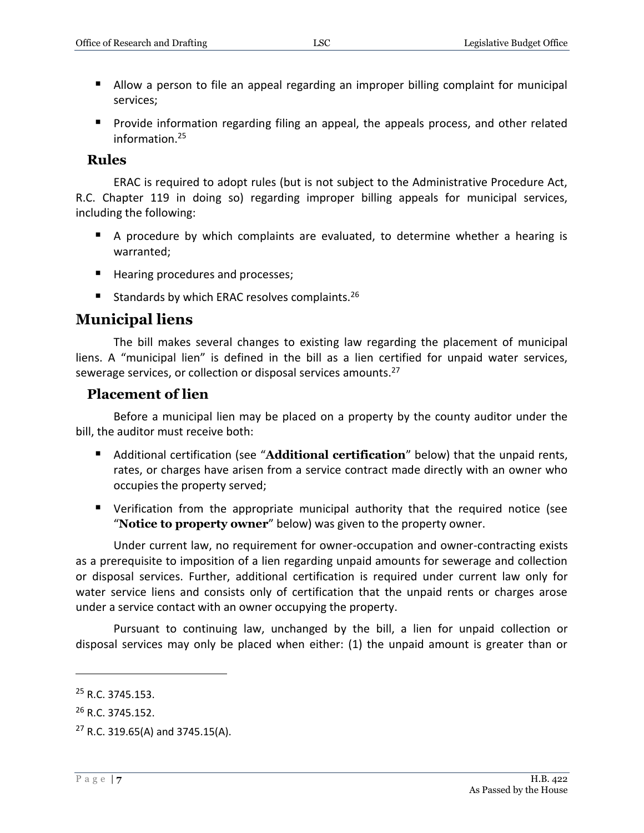- **Allow a person to file an appeal regarding an improper billing complaint for municipal** services;
- **Provide information regarding filing an appeal, the appeals process, and other related** information.<sup>25</sup>

#### **Rules**

ERAC is required to adopt rules (but is not subject to the Administrative Procedure Act, R.C. Chapter 119 in doing so) regarding improper billing appeals for municipal services, including the following:

- A procedure by which complaints are evaluated, to determine whether a hearing is warranted;
- Hearing procedures and processes;
- Standards by which ERAC resolves complaints.<sup>26</sup>

## **Municipal liens**

The bill makes several changes to existing law regarding the placement of municipal liens. A "municipal lien" is defined in the bill as a lien certified for unpaid water services, sewerage services, or collection or disposal services amounts.<sup>27</sup>

#### **Placement of lien**

Before a municipal lien may be placed on a property by the county auditor under the bill, the auditor must receive both:

- Additional certification (see "**Additional certification**" below) that the unpaid rents, rates, or charges have arisen from a service contract made directly with an owner who occupies the property served;
- Verification from the appropriate municipal authority that the required notice (see "**Notice to property owner**" below) was given to the property owner.

Under current law, no requirement for owner-occupation and owner-contracting exists as a prerequisite to imposition of a lien regarding unpaid amounts for sewerage and collection or disposal services. Further, additional certification is required under current law only for water service liens and consists only of certification that the unpaid rents or charges arose under a service contact with an owner occupying the property.

Pursuant to continuing law, unchanged by the bill, a lien for unpaid collection or disposal services may only be placed when either: (1) the unpaid amount is greater than or

<sup>&</sup>lt;sup>25</sup> R.C. 3745.153.

<sup>&</sup>lt;sup>26</sup> R.C. 3745.152.

 $27$  R.C. 319.65(A) and 3745.15(A).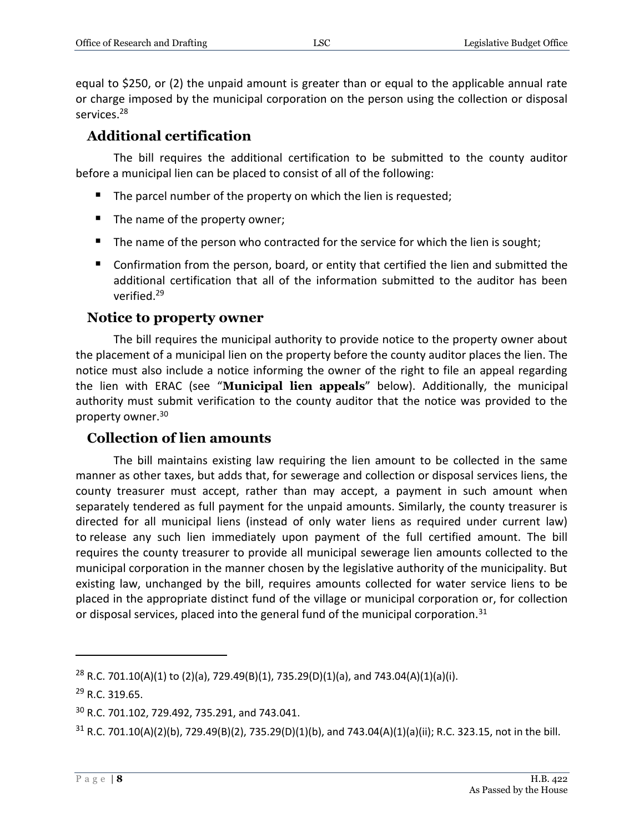equal to \$250, or (2) the unpaid amount is greater than or equal to the applicable annual rate or charge imposed by the municipal corporation on the person using the collection or disposal services.<sup>28</sup>

## **Additional certification**

The bill requires the additional certification to be submitted to the county auditor before a municipal lien can be placed to consist of all of the following:

- The parcel number of the property on which the lien is requested;
- $\blacksquare$  The name of the property owner;
- The name of the person who contracted for the service for which the lien is sought;
- Confirmation from the person, board, or entity that certified the lien and submitted the additional certification that all of the information submitted to the auditor has been verified.<sup>29</sup>

## **Notice to property owner**

The bill requires the municipal authority to provide notice to the property owner about the placement of a municipal lien on the property before the county auditor places the lien. The notice must also include a notice informing the owner of the right to file an appeal regarding the lien with ERAC (see "**Municipal lien appeals**" below). Additionally, the municipal authority must submit verification to the county auditor that the notice was provided to the property owner.<sup>30</sup>

## **Collection of lien amounts**

The bill maintains existing law requiring the lien amount to be collected in the same manner as other taxes, but adds that, for sewerage and collection or disposal services liens, the county treasurer must accept, rather than may accept, a payment in such amount when separately tendered as full payment for the unpaid amounts. Similarly, the county treasurer is directed for all municipal liens (instead of only water liens as required under current law) to release any such lien immediately upon payment of the full certified amount. The bill requires the county treasurer to provide all municipal sewerage lien amounts collected to the municipal corporation in the manner chosen by the legislative authority of the municipality. But existing law, unchanged by the bill, requires amounts collected for water service liens to be placed in the appropriate distinct fund of the village or municipal corporation or, for collection or disposal services, placed into the general fund of the municipal corporation.<sup>31</sup>

<sup>&</sup>lt;sup>28</sup> R.C. 701.10(A)(1) to (2)(a), 729.49(B)(1), 735.29(D)(1)(a), and 743.04(A)(1)(a)(i).

<sup>29</sup> R.C. 319.65.

<sup>30</sup> R.C. 701.102, 729.492, 735.291, and 743.041.

 $31$  R.C. 701.10(A)(2)(b), 729.49(B)(2), 735.29(D)(1)(b), and 743.04(A)(1)(a)(ii); R.C. 323.15, not in the bill.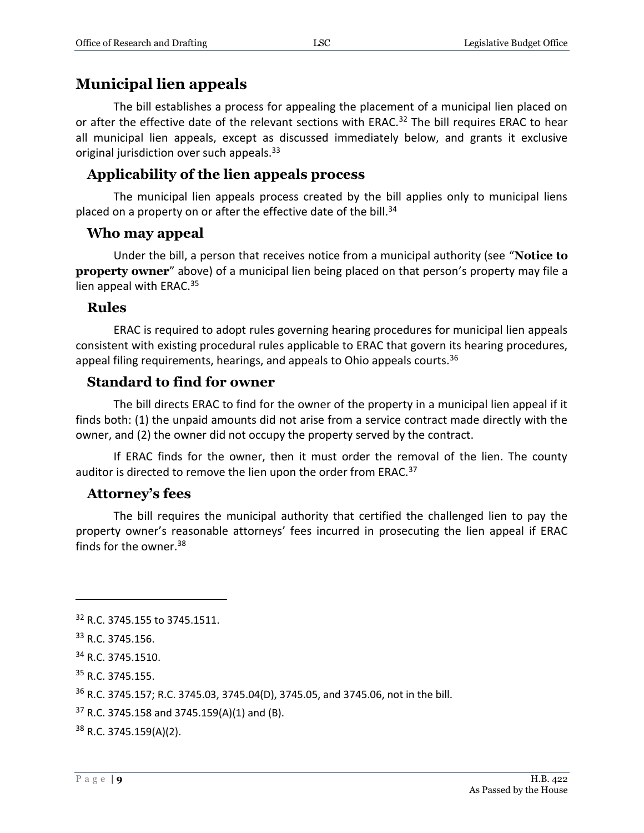## **Municipal lien appeals**

The bill establishes a process for appealing the placement of a municipal lien placed on or after the effective date of the relevant sections with ERAC.<sup>32</sup> The bill requires ERAC to hear all municipal lien appeals, except as discussed immediately below, and grants it exclusive original jurisdiction over such appeals.<sup>33</sup>

## **Applicability of the lien appeals process**

The municipal lien appeals process created by the bill applies only to municipal liens placed on a property on or after the effective date of the bill. $34$ 

### **Who may appeal**

Under the bill, a person that receives notice from a municipal authority (see "**Notice to property owner**" above) of a municipal lien being placed on that person's property may file a lien appeal with ERAC.<sup>35</sup>

### **Rules**

ERAC is required to adopt rules governing hearing procedures for municipal lien appeals consistent with existing procedural rules applicable to ERAC that govern its hearing procedures, appeal filing requirements, hearings, and appeals to Ohio appeals courts.  $36$ 

## **Standard to find for owner**

The bill directs ERAC to find for the owner of the property in a municipal lien appeal if it finds both: (1) the unpaid amounts did not arise from a service contract made directly with the owner, and (2) the owner did not occupy the property served by the contract.

If ERAC finds for the owner, then it must order the removal of the lien. The county auditor is directed to remove the lien upon the order from ERAC.<sup>37</sup>

## **Attorney's fees**

The bill requires the municipal authority that certified the challenged lien to pay the property owner's reasonable attorneys' fees incurred in prosecuting the lien appeal if ERAC finds for the owner. $38$ 

<sup>&</sup>lt;sup>32</sup> R.C. 3745.155 to 3745.1511.

<sup>33</sup> R.C. 3745.156.

<sup>34</sup> R.C. 3745.1510.

<sup>35</sup> R.C. 3745.155.

<sup>36</sup> R.C. 3745.157; R.C. 3745.03, 3745.04(D), 3745.05, and 3745.06, not in the bill.

 $37$  R.C. 3745.158 and 3745.159(A)(1) and (B).

<sup>38</sup> R.C. 3745.159(A)(2).